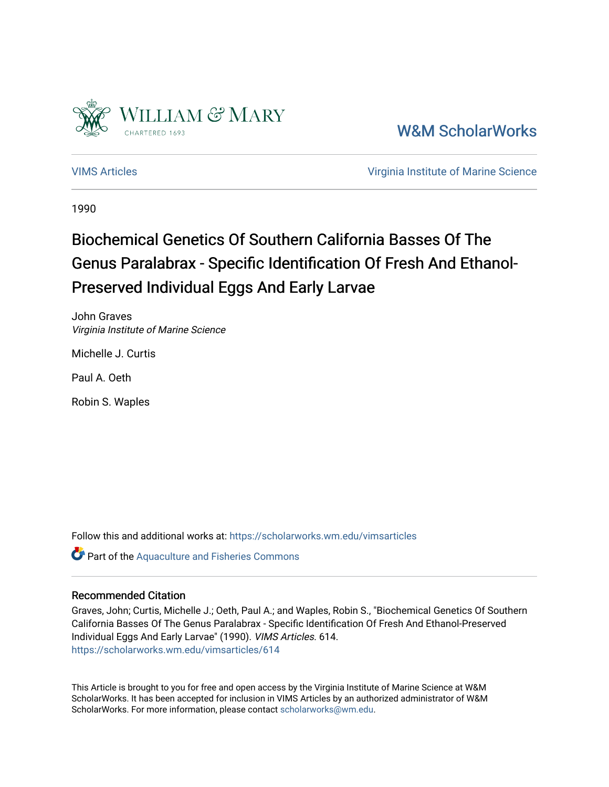

[W&M ScholarWorks](https://scholarworks.wm.edu/) 

[VIMS Articles](https://scholarworks.wm.edu/vimsarticles) [Virginia Institute of Marine Science](https://scholarworks.wm.edu/vims) 

1990

# Biochemical Genetics Of Southern California Basses Of The Genus Paralabrax - Specific Identification Of Fresh And Ethanol-Preserved Individual Eggs And Early Larvae

John Graves Virginia Institute of Marine Science

Michelle J. Curtis

Paul A. Oeth

Robin S. Waples

Follow this and additional works at: [https://scholarworks.wm.edu/vimsarticles](https://scholarworks.wm.edu/vimsarticles?utm_source=scholarworks.wm.edu%2Fvimsarticles%2F614&utm_medium=PDF&utm_campaign=PDFCoverPages)

**Part of the [Aquaculture and Fisheries Commons](http://network.bepress.com/hgg/discipline/78?utm_source=scholarworks.wm.edu%2Fvimsarticles%2F614&utm_medium=PDF&utm_campaign=PDFCoverPages)** 

#### Recommended Citation

Graves, John; Curtis, Michelle J.; Oeth, Paul A.; and Waples, Robin S., "Biochemical Genetics Of Southern California Basses Of The Genus Paralabrax - Specific Identification Of Fresh And Ethanol-Preserved Individual Eggs And Early Larvae" (1990). VIMS Articles. 614. [https://scholarworks.wm.edu/vimsarticles/614](https://scholarworks.wm.edu/vimsarticles/614?utm_source=scholarworks.wm.edu%2Fvimsarticles%2F614&utm_medium=PDF&utm_campaign=PDFCoverPages)

This Article is brought to you for free and open access by the Virginia Institute of Marine Science at W&M ScholarWorks. It has been accepted for inclusion in VIMS Articles by an authorized administrator of W&M ScholarWorks. For more information, please contact [scholarworks@wm.edu.](mailto:scholarworks@wm.edu)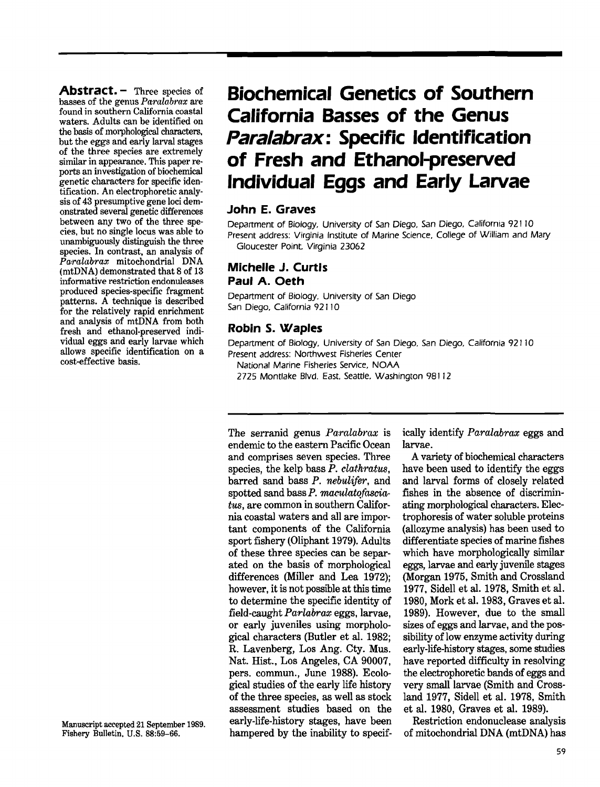**Abstract. -** Three species of basses of the genus *Pamlab'rax* are found in southern California coastal waters. Adults can be identified on the basis of morphological characters. but the eggs and early larval stages of the three species are extremely similar in appearance. This paper reports an inwstigation of biochemical genetic characters for specific identification. An electrophoretic analysis of 43 presumptive gene loci demonstrated several genetic differences between any two of the three species. but no single locus was able to unambiguously distinguish the three species. In contrast, an analysis of *Paralabrax* mitochondrial DNA (mtDNA) demonstrated that 8 of 13 informative restriction endonuleases produced species-specific fragment patterns. A technique is described for the relatively rapid enrichment and analysis of mtDNA from both fresh and ethanol-preserved individual eggs and early larvae which allows specific identification on a cost-effective basis.

# **Biochemical Genetics of Southern California Basses of the Genus Paralabrax: Specific Identification of Fresh and Ethanol-preserved Individual Eggs and Early Larvae**

## **John E. Graves**

Department of Biology, University of San Diego, San Diego, California 921 J0 Present address: Virginia Institute of Marine Science, College of William and Mary Gloucester Point. Virginia 23062

# **Michelle J. Curtis Paul A. Oeth**

Department of Biology. University of San Diego San Diego, California 92110

# **Robin S. Waples**

Department of Biology, University of San Diego. San Diego, California 92 J 10 Present address: Northwest Fisheries Center

National Marine Fisheries Service, NOAA

2725 Montlake BlVd. East. Seattle. Washington 981 J2

The serranid genus *Paralabrax* is endemic to the eastern Pacific Ocean and comprises seven species. Three species, the kelp bass *P. clathratus*, barred sand bass P. *nebulifer*, and spotted sand bass  $P$ . maculatofascia*tus,* are common in southern California coastal waters and all are important components of the California sport fishery (Oliphant 1979). Adults of these three species can be separated on the basis of morphological differences (Miller and Lea 1972); however, it is not possible at this time to determine the specific identity of field-caught *Parlabrax* eggs, larvae, or early juveniles using morphological characters (Butler et al. 1982; R. Lavenberg, Los Ang. Cty. Mus. Nat. Hist., Los Angeles, CA 90007, pers. commun., June 1988). Ecological studies of the early life history of the three species, as well as stock assessment studies based on the early-life-history stages, have been hampered by the inability to specifically identify *Paralabrax* eggs and larvae.

A variety of biochemical characters have been used to identify the eggs and larval forms of closely related fishes in the absence of discriminating morphological characters. Electrophoresis of water soluble proteins (allozyme analysis) has been used to differentiate species of marine fishes which have morphologically similar eggs, larvae and early juvenile stages (Morgan 1975, Smith and Crossland 1977, Sidell et al. 1978, Smith et al. 1980, Mork et al. 1983, Graves et al. 1989). However, due to the small sizes of eggs and larvae, and the possibility of low enzyme activity during early-life-history stages, some studies have reported difficulty in resolving the electrophoretic bands of eggs and very small larvae (Smith and Crossland 1977, Sidell et al. 1978, Smith et al. 1980, Graves et al. 1989).

Restriction endonuclease analysis of mitochondrial DNA (mtDNA) has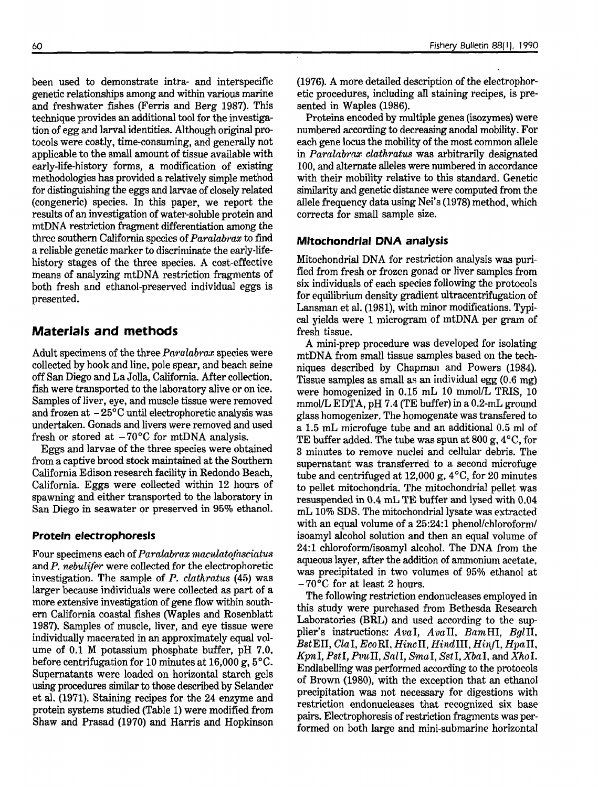been used to demonstrate intra- and interspecific genetic relationships among and within various marine and freshwater fishes (Ferris and Berg 1987). This technique provides an additional tool for the investigation of egg and larval identities. Although original protocols were costly, time-consuming, and generally not applicable to the small amount of tissue available with early-life-history forms, a modification of existing methodologies has provided a relatively simple method for distinguishing the eggs and larvae of closely related (congeneric) species. In this paper, we report the results of an investigation of water-soluble protein and mtDNA restriction fragment differentiation among the three southern California species of*Paralabrax* to find a reliable genetic marker to discriminate the early-lifehistory stages of the three species. A cost-effective means of analyzing mtDNA restriction fragments of both fresh and ethanol-preserved individual eggs is presented.

# **Materials and methods**

Adult specimens of the three  $Paralabraz$  species were collected by hook and line, pole spear, and beach seine off San Diego and La Jolla, California. Mter collection. fish were transported to the laboratory alive or on ice. Samples of liver, eye, and muscle tissue were removed and frozen at  $-25^{\circ}$ C until electrophoretic analysis was undertaken. Gonads and livers were removed and used fresh or stored at  $-70^{\circ}$ C for mtDNA analysis.

Eggs and larvae of the three species were obtained from a captive brood stock maintained at the Southern California Edison research facility in Redondo Beach, California. Eggs were collected within 12 hours of spawning and either transported to the laboratory in San Diego in seawater or preserved in 95% ethanol.

### **Protein electrophoresis**

Four specimens each of *Paralabrax maculatofasciatus* and *P. nebulifer* were collected for the electrophoretic investigation. The sample of *P. clatkratus* (45) was larger because individuals were collected as part of a more extensive investigation of gene flow within southern California coastal fishes (Waples and Rosenblatt 1987). Samples of muscle, liver, and eye tissue were individually macerated in an approximately equal volume of 0.1 M potassium phosphate buffer, pH 7.0. before centrifugation for 10 minutes at 16,000 g, 5°C. Supernatants were loaded on horizontal starch gels using procedures similar to those described by Selander et al. (1971). Staining recipes for the 24 enzyme and protein systems studied (Table 1) were modified from Shaw and Prasad (1970) and Harris and Hopkinson (1976). A more detailed description of the electrophoretic procedures, including all staining recipes, is presented in Waples (1986).

Proteins encoded by multiple genes (isozymes) were numbered according to decreasing anodal mobility. For each gene locus the mobility of the most common allele in *Paralabrax clathratus* was arbitrarily designated 100, and alternate alleles were numbered in accordance with their mobility relative to this standard. Genetic similarity and genetic distance were computed from the allele frequency data using Nei's (1978) method, which corrects for small sample size.

#### **Mitochondrial DNA analysis**

Mitochondrial DNA for restriction analysis was purified from fresh or frozen gonad or liver samples from six individuals of each species following the protocols for equilibrium density gradient ultracentrifugation of Lansman et al. (1981), with minor modifications. Typical yields were 1 microgram of mtDNA per gram of fresh tissue.

A mini-prep procedure was developed for isolating mtDNA from small tissue samples based on the techniques described by Chapman and Powers (1984). Tissue samples as small as an individual egg (0.6 mg) were homogenized in 0.15 mL 10 mmol/L TRIS, 10 mmol/L EDTA, pH 7.4 (TE buffer) in a 0.2-mL ground glass homogenizer. The homogenate was transfered to a 1.5 mL microfuge tube and an additional 0.5 ml of TE buffer added. The tube was spun at 800 g,  $4^{\circ}$ C, for 3 minutes to remove nuclei and cellular debris. The supernatant was transferred to a second microfuge tube and centrifuged at 12,000 g,  $4^{\circ}$ C, for 20 minutes to pellet mitochondria. The mitochondrial pellet was resuspended in 0.4 mL TE buffer and lysed with 0.04 mL 10% SDS. The mitochondrial lysate was extracted with an equal volume of a 25:24:1 phenol/chloroform/ isoamyl alcohol solution and then an equal volume of 24:1 chloroform/isoamyl alcohol. The DNA from the aqueous layer, after the addition of ammonium acetate. was precipitated in two volumes of 95% ethanol at -70°C for at least 2 hours.

The following restriction endonucleases employed in this study were purchased from Bethesda Research Laboratories (BRL) and used according to the supplier's instructions: AvaI, AvaII, BamHI, BglII,  $BstEII, ClaI, EcoRI, HincII, HindIII, Hint, HpaII,$ *](pnI, PstI, PvuII, Sall, Sma.I, Sst!, XbaI,* and *X/wI.* Endlabelling was performed according to the protocols of Brown (1980), with the exception that an ethanol precipitation was not necessary for digestions with restriction endonucleases that recognized six base pairs. Electrophoresis of restriction fragments was performed on both large and mini-submarine horizontal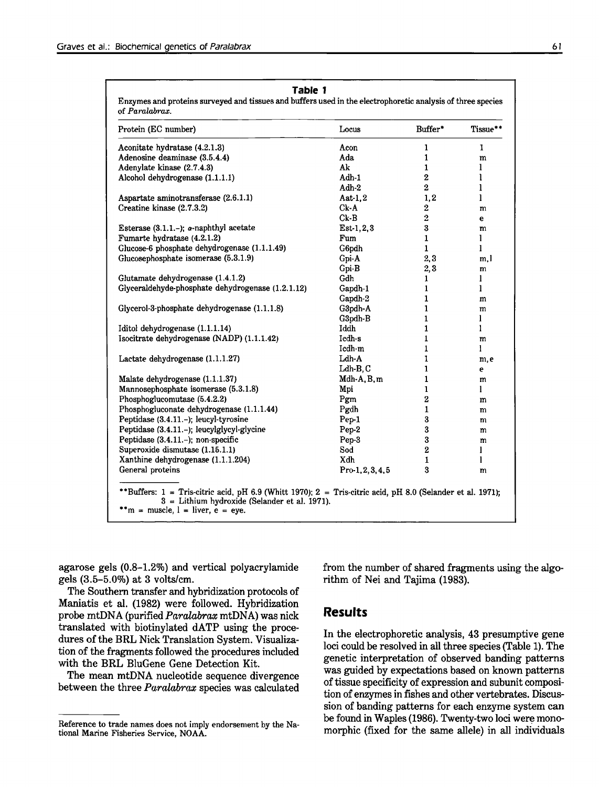| Locus<br>Buffer*                                                                                                                                                                               | Tissue**                            |
|------------------------------------------------------------------------------------------------------------------------------------------------------------------------------------------------|-------------------------------------|
| Acon<br>1                                                                                                                                                                                      | 1                                   |
| Ada<br>$\mathbf{1}$                                                                                                                                                                            | m                                   |
| Ak<br>$\mathbf{1}$                                                                                                                                                                             | ı                                   |
| $\bf 2$<br>Adh 1                                                                                                                                                                               | l                                   |
| $\overline{2}$<br>Adh-2                                                                                                                                                                        | l                                   |
| 1,2<br>Aat-1.2                                                                                                                                                                                 | l                                   |
| $Ck-A$<br>2                                                                                                                                                                                    | m                                   |
| $\overline{2}$<br>$Ck-B$                                                                                                                                                                       | e                                   |
| $\bf{3}$<br>$Est-1, 2, 3$                                                                                                                                                                      | m                                   |
| $\mathbf{1}$<br>Fum                                                                                                                                                                            | l                                   |
| Glucose-6 phosphate dehydrogenase (1.1.1.49)<br>G6pdh<br>$\mathbf{1}$                                                                                                                          | l                                   |
| 2,3<br>Gpi-A                                                                                                                                                                                   | m, I                                |
| Gpi-B<br>2,3                                                                                                                                                                                   | m                                   |
| Gdh<br>1                                                                                                                                                                                       | 1                                   |
| Glyceraldehyde-phosphate dehydrogenase (1.2.1.12)<br>Gapdh-1<br>1                                                                                                                              | l                                   |
| Gapdh-2<br>1                                                                                                                                                                                   | m                                   |
| Glycerol-3-phosphate dehydrogenase (1.1.1.8)<br>$\mathbf{1}$<br>G3pdh-A                                                                                                                        | m                                   |
| G3pdh-B<br>$\mathbf{1}$                                                                                                                                                                        | ı                                   |
| 1<br>Iddh                                                                                                                                                                                      | 1                                   |
| Isocitrate dehydrogenase (NADP) (1.1.1.42)<br>Icdh-s<br>$\mathbf{1}$                                                                                                                           | m                                   |
| Icdh-m<br>1                                                                                                                                                                                    | 1                                   |
| Ldh-A<br>1                                                                                                                                                                                     | m, e                                |
| $\mathbf{1}$<br>$Ldh-B,C$                                                                                                                                                                      | е                                   |
| $Mdh-A, B, m$<br>$\mathbf{1}$                                                                                                                                                                  | m                                   |
| $\mathbf{1}$<br>Mpi                                                                                                                                                                            | 1                                   |
| $\overline{2}$<br>Pgm                                                                                                                                                                          | m                                   |
| Phosphogluconate dehydrogenase (1.1.1.44)<br>Pgdh<br>1                                                                                                                                         | m                                   |
| 3<br>$Pep-1$                                                                                                                                                                                   | m                                   |
| Peptidase (3.4.11.-); leucylglycyl-glycine<br>3<br>Pep-2                                                                                                                                       | m                                   |
| 3<br>Pep-3                                                                                                                                                                                     | m                                   |
|                                                                                                                                                                                                | ı                                   |
|                                                                                                                                                                                                | 1                                   |
|                                                                                                                                                                                                | m                                   |
| Sod<br>Xdh<br>Pro 1, 2, 3, 4, 5<br>**Buffers: 1 = Tris-citric acid, pH 6.9 (Whitt 1970); 2 = Tris-citric acid, pH 8.0 (Selander et al. 1971);<br>3 = Lithium hydroxide (Selander et al. 1971). | $\overline{2}$<br>$\mathbf{1}$<br>3 |

agarose gels (0.8-1.2%) and vertical polyacrylamide gels (3.5-5.0%) at 3 volts/em.

The Southern transfer and hybridization protocols of Maniatis et aI. (1982) were followed. Hybridization probe mtDNA (purified *Paralabrax* mtDNA) was nick translated with biotinylated dATP using the procedures of the BRL Nick Translation System. Visualization of the fragments followed the procedures included with the BRL BluGene Gene Detection Kit.

The mean mtDNA nucleotide sequence divergence between the three *Paralabrax* species was calculated from the number of shared fragments using the algorithm of Nei and Tajima (1983).

#### **Results**

In the electrophoretic analysis, 43 presumptive gene loci could be resolved in all three species (Table 1). The genetic interpretation of observed banding patterns was guided by expectations based on known patterns of tissue specificity of expression and subunit composition of enzymes in fishes and other vertebrates. Discussion of banding patterns for each enzyme system can be found in Waples (1986). Twenty-two loci were monomorphic (fixed for the same allele) in all individuals

Reference to trade names does not imply endorsement by the National Marine Fisheries Service, NOAA.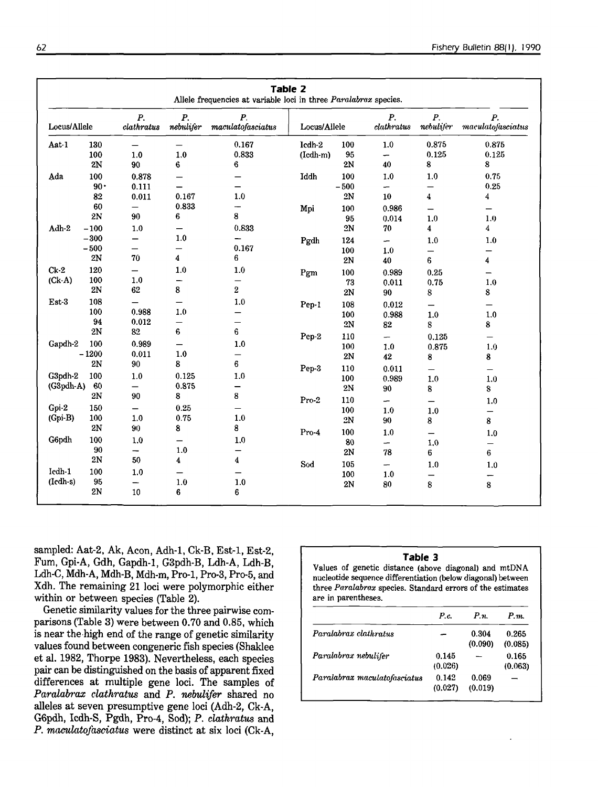| Table 2<br>Allele frequencies at variable loci in three Paralabrax species. |               |                           |                               |                                       |              |               |                          |                               |                                      |
|-----------------------------------------------------------------------------|---------------|---------------------------|-------------------------------|---------------------------------------|--------------|---------------|--------------------------|-------------------------------|--------------------------------------|
| Locus/Allele                                                                |               | $P_{\cdot}$<br>clathratus | $\boldsymbol{P}$<br>nebulijer | $\boldsymbol{P}$<br>machato fasciatus | Locus/Allele |               | Р.<br>clathratus         | $\boldsymbol{P}$<br>nebulifer | P.<br>maculato <sub>f</sub> asciatus |
| Aat-1                                                                       | 130           | —                         | $\overline{\phantom{0}}$      | 0.167                                 | Icdh-2       | 100           | $1.0\,$                  | 0.875                         | 0.875                                |
|                                                                             | 100           | 1.0                       | $1.0\,$                       | 0.833                                 | $(1cdh-m)$   | 95            | -                        | 0.125                         | 0.125                                |
|                                                                             | 2N            | 90                        | 6                             | 6                                     |              | 2N            | 40                       | 8                             | 8                                    |
| Ada                                                                         | 100           | 0.878                     | $\overline{\phantom{0}}$      |                                       | Iddh         | 100           | 1.0                      | 1.0                           | 0.75                                 |
|                                                                             | $90 -$        | 0.111                     | $\qquad \qquad$               | —                                     |              | $-500$        | $\overline{\phantom{m}}$ | $\overline{\phantom{0}}$      | 0.25                                 |
|                                                                             | 82            | 0.011                     | 0.167                         | 1.0                                   |              | $2\mathrm{N}$ | $10\,$                   | 4                             | 4                                    |
|                                                                             | 60            | —                         | 0.833                         | —                                     | Mpi          | 100           | 0.986                    | $\qquad \qquad -$             | -                                    |
|                                                                             | 2N            | 90                        | 6                             | 8                                     |              | 95            | 0.014                    | 1.0                           | 1.0                                  |
| Adh-2                                                                       | $-100$        | 1.0                       | —                             | 0.833                                 |              | $2\mathrm{N}$ | 70                       | 4                             | 4                                    |
|                                                                             | $-300$        | -                         | 1.0                           | —                                     | Pgdh         | 124           | -                        | 1.0                           | 1.0                                  |
|                                                                             | $-500$        | —                         | —                             | 0.167                                 |              | 100           | 1.0                      | —                             | —                                    |
|                                                                             | $2\mathrm{N}$ | 70                        | 4                             | 6                                     |              | 2N            | 40                       | 6                             | 4                                    |
| $Ck-2$                                                                      | 120           | —                         | 1.0                           | 1.0                                   | Pgm          | 100           | 0.989                    | 0.25                          | $\overline{\phantom{0}}$             |
| $(Ck-A)$                                                                    | 100           | 1.0                       | -                             | —                                     |              | 73            | 0.011                    | 0.75                          | 1.0                                  |
|                                                                             | $2\mathrm{N}$ | 62                        | 8                             | $\overline{\mathbf{2}}$               |              | 2N            | 90                       | 8                             | 8                                    |
| Est-3                                                                       | 108           | $\overline{\phantom{0}}$  |                               | 1.0                                   |              | 108           | 0.012                    |                               |                                      |
|                                                                             | 100           | 0.988                     | 1.0                           | -                                     | Pep-1        | 100           | 0.988                    | 1.0                           | —<br>1.0                             |
|                                                                             | 94            | 0.012                     | $\overline{\phantom{0}}$      | —                                     |              | $2\mathrm{N}$ | 82                       | 8                             | 8                                    |
|                                                                             | 2N            | 82                        | 6                             | 6                                     |              |               |                          |                               |                                      |
| Gapdh-2                                                                     | 100           | 0.989                     |                               | 1.0                                   | Pep-2        | 110           | -                        | 0.125                         | —                                    |
|                                                                             | $-1200$       | 0.011                     | 1.0                           | —                                     |              | 100           | 1.0                      | 0.875                         | 1.0                                  |
|                                                                             | 2N            | 90                        | 8                             | $\bf 6$                               |              | 2N            | 42                       | 8                             | 8                                    |
| G3pdh-2                                                                     | 100           |                           |                               | 1.0                                   | Pep-3        | 110           | 0.011                    | $\qquad \qquad$               | $\qquad \qquad -$                    |
| (G3pdh-A)                                                                   | 60            | $1.0\,$                   | 0.125<br>0.875                |                                       |              | 100           | 0.989                    | 1.0                           | 1.0                                  |
|                                                                             | 2N            | —<br>90                   | 8                             | —<br>8                                |              | $2\mathrm{N}$ | 90                       | 8                             | 8                                    |
|                                                                             |               |                           |                               |                                       | Pro-2        | 110           | $\overline{\phantom{m}}$ |                               | 1.0                                  |
| $Gpi-2$                                                                     | 150           | $\overline{\phantom{0}}$  | 0.25                          | —                                     |              | 100           | 1.0                      | 1.0                           | —                                    |
| $(Gpi-B)$                                                                   | 100           | 1.0                       | 0.75                          | 1.0                                   |              | 2N            | 90                       | 8                             | 8                                    |
|                                                                             | 2N            | 90                        | 8                             | 8                                     | Pro-4        | 100           | 1.0                      | $\qquad \qquad -$             | 1.0                                  |
| G6pdh                                                                       | 100           | 1.0                       | —                             | 1,0                                   |              | 80            | -                        | 1.0                           | $\qquad \qquad -$                    |
|                                                                             | 90            | -                         | 1.0                           | —                                     |              | 2N            | 78                       | 6                             | 6                                    |
|                                                                             | 2N            | 50                        | 4                             | 4                                     | Sod          | 105           | $\overline{\phantom{0}}$ | 1.0                           | 1.0                                  |
| Icdh-1                                                                      | 100           | 1.0                       | —                             |                                       |              | 100           | 1.0                      |                               | —                                    |
| (Icdh-s)                                                                    | 95            | —                         | 1.0                           | 1.0                                   |              | 2N            | 80                       | 8                             | 8                                    |
|                                                                             | 2N            | 10                        | 6                             | 6                                     |              |               |                          |                               |                                      |

sampled: Aat-2, Ak, Acon, Adh-1, Ck-B, Est-1, Est-2, Fum, Gpi-A, Gdh, Gapdh-1, G3pdh-B, Ldh-A, Ldh-B, Ldh-C, Mdh-A, Mdh-B, Mdh-m, Pro-1, Pro-3, Pro-5, and Xdh. The remaining 21 loci were polymorphic either within or between species (Table 2).

Genetic similarity values for the three pairwise comparisons (Table 3) were between 0.70 and 0.85, which is near the high end of the range of genetic similarity values found between congeneric fish species (Shaklee et al. 1982, Thorpe 1983). Nevertheless, each species pair can be distinguished on the basis of apparent fixed differences at multiple gene loci. The samples of Paralabrax clathratus and P. nebulifer shared no alleles at seven presumptive gene loci (Adh-2, Ck-A, G6pdh, Icdh-S, Pgdh, Pro-4, Sod); P. clathratus and P. maculatofasciatus were distinct at six loci (Ck-A,

#### Table 3

Values of genetic distance (above diagonal) and mtDNA nucleotide sequence differentiation (below diagonal) between three Paralabrax species. Standard errors of the estimates are in parentheses.

|                              | P.c.             | $P_{\mathcal{R}}$ | P.m.             |
|------------------------------|------------------|-------------------|------------------|
| Paralabrax clathratus        |                  | 0.304<br>(0.090)  | 0.265<br>(0.085) |
| Paralabrax nebulifer         | 0.145<br>(0.026) |                   | 0.165<br>(0.063) |
| Paralabrax maculatofasciatus | 0.142<br>(0.027) | 0.069<br>(0.019)  |                  |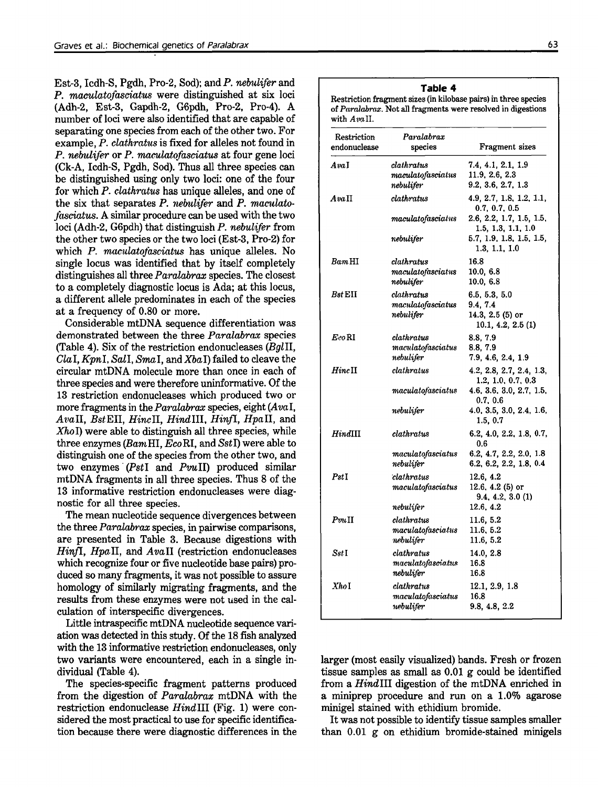Est-3, Icdh-S, Pgdh, Pro-2, Sod); and *P. nebulifer* and *P. macula.tofasciatus* were distinguished at six loci (Adh-2, Est-3, Gapdh-2, G6pdh, Pro-2, Pro-4). A number of loci were also identified that are capable of separating one species from each of the other two. For example, *P. clathratus* is fixed for alleles not found in *P. nebu,lifer* or *P. maculatofasciatus* at four gene loci (Ck-A, Icdh-S, Pgdh, Sod). Thus all three species can be distinguished using only two loci: one of the four for which *P. clathratus* has unique alleles, and one of the six that separates *P. nebulifer* and *P. maculatofasciatus.* A similar procedure can be used with the two loci (Adh-2, G6pdh) that distinguish *P. nebulifer* from the other two species or the two loci (Est-3, Pro-2) for which *P. maculatofasciatus* has unique alleles. No single locus was identified that by itself completely distinguishes all three *Paralabrax* species. The closest to a completely diagnostic locus is Ada; at this locus, a different allele predominates in each of the species at a frequency of 0.80 or more.

Considerable mtDNA sequence differentiation was demonstrated between the three *Paralabrax* species (Table 4). Six of the restriction endonucleases *(BglIl, ClaI, KpnI, Sall, SmaI,* and *XbaI)* failed to cleave the circular mtDNA molecule more than once in each of three species and were therefore uninformative. Of the 13 restriction endonucleases which produced two or more fragments in the *Pamlabrax* species, eight *(Ava* I, *AvaIl, BstEIl, HincIl, HindIlI. HinfI, HpaIl,* and *XhoI)* were able to distinguish all three species, while three enzymes*(BamHI, EcoRI,* and *SstI)* were able to distinguish one of the species from the other two, and two enzymes' *(Pst!* and *PvuIl)* produced similar mtDNA fragments in all three species. Thus 8 of the 13 informative restriction endonucleases were diagnostic for all three species.

The mean nucleotide sequence divergences between the three *Paralab'rax* species, in pairwise comparisons, are presented in Table 3. Because digestions with *HinfI, Hpa.Il,* and *AvaIl* (restriction endonucleases which recognize four or five nucleotide base pairs) produced so many fragments, it was not possible to assure homology of similarly migrating fragments, and the results from these enzymes were not used in the calculation of interspecific divergences.

Little intraspecific mtDNA nucleotide sequence variation was detected in this study. Of the 18 fish analyzed with the 13 informative restriction endonucleases, only two variants were encountered, each in a single individual (Table 4).

The species-specific fragment patterns produced from the digestion of *Paralabrax* mtDNA with the restriction endonuclease *HindIlI* (Fig. 1) were considered the most practical to use for specific identification because there were diagnostic differences in the

#### **Table 4**

Restriction fragment sizes (in kilobase pairs) in three species of *Paralahrax.* Not all fragments were resolved in digestions with Avall.

| Restriction<br>endonuclease | Paralabrax<br>species                                                     | Fragment sizes                                                      |
|-----------------------------|---------------------------------------------------------------------------|---------------------------------------------------------------------|
| AvaI                        | clathratus<br>maculator of a sciatus<br>nebulifer                         | 7.4, 4.1, 2.1, 1.9<br>11.9, 2.6, 2.3<br>9.2, 3.6, 2.7, 1.3          |
| AvaII                       | clathratus                                                                | 4.9, 2.7, 1.8, 1.2, 1.1,                                            |
|                             | maculato fasciatus                                                        | 0.7, 0.7, 0.5<br>2.6, 2.2, 1.7, 1.5, 1.5,<br>1.5, 1.3, 1.1, 1.0     |
|                             | nebulifer                                                                 | 5.7, 1.9, 1.8, 1.5, 1.5,<br>1.3, 1.1, 1.0                           |
| Bam HI                      | clathratus<br>$\emph{maculato}$ fasci $\emph{atus}$<br>nebulifer          | 16.8<br>10.0, 6.8<br>10.0, 6.8                                      |
| $B$ st $\rm EII$            | clathratus<br>maculatofasciatus<br>nebulifer                              | 6.5, 5.3, 5.0<br>9.4, 7.4<br>14.3, 2.5 (5) or<br>10.1, 4.2, 2.5 (1) |
| Eco RI                      | clathratus<br>$\label{eq:1} \emph{maculato} \emph{faciatus}$<br>nebulifer | 8.8, 7.9<br>8.8, 7.9<br>7.9, 4.6, 2.4, 1.9                          |
| $Hinc$ II                   | clathratus                                                                | 4.2, 2.8, 2.7, 2.4, 1.3,<br>1.2, 1.0, 0.7, 0.3                      |
|                             | maculatofasciatus                                                         | 4.6, 3.6, 3.0, 2.7, 1.5,<br>0.7, 0.6                                |
|                             | nebulifer                                                                 | 4.0, 3.5, 3.0, 2.4, 1.6,<br>1.5, 0.7                                |
| HindIII                     | clathratus                                                                | 6.2, 4.0, 2.2, 1.8, 0.7,<br>0.6                                     |
|                             | maculator of a sciatus<br>nebulifer                                       | 6.2, 4.7, 2.2, 2.0, 1.8<br>6.2, 6.2, 2.2, 1.8, 0.4                  |
| $_{PstI}$                   | clathratus<br>maculato fasciatus                                          | 12.6, 4.2<br>12.6, 4.2 (5) or<br>9.4, 4.2, 3.0(1)                   |
|                             | nebulifer                                                                 | 12.6, 4.2                                                           |
| $Pm$ $\Pi$                  | clathratus<br>maculato fasciatus<br>nebulifer                             | 11.6, 5.2<br>11.6, 5.2<br>11.6, 5.2                                 |
| Sst I                       | clathratus<br>maculatofasciatus<br>nebulifer                              | 14.0, 2.8<br>16.8<br>16.8                                           |
| XhoI                        | clathratus<br>maculator of a sciatus<br>nebulifer                         | 12.1, 2.9, 1.8<br>16.8<br>9.8, 4.8, 2.2                             |

larger (most easily visualized) bands. Fresh or frozen tissue samples as small as 0.01 g could be identified from a *HindIlI* digestion of the mtDNA enriched in a miniprep procedure and run on a 1.0% agarose minigel stained with ethidium bromide.

It was not possible to identify tissue samples smaller than 0.01 g on ethidium bromide-stained minigels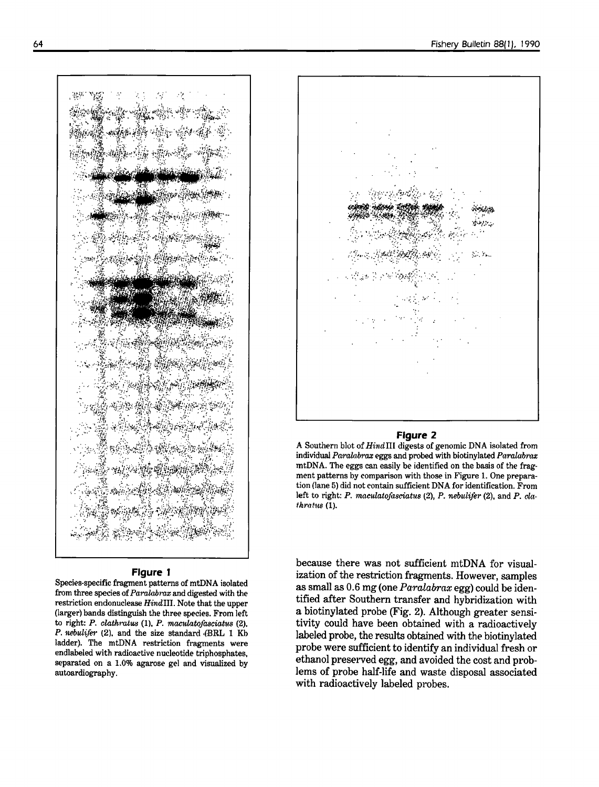\_:

#### **Figure 1**

Species-specific fragment patterns of mtDNA isolated from three species of*Paralabrax* and digested with the restriction endonuclease HindIII. Note that the upper (larger) bands distinguish the three species. From left to right: *P. clathratus* (1), *P. maculatofasciatus* (2), P. *nebulifer* (2), and the size standard (BRL 1 Kb ladder). The mtDNA restriction fragments were endlabeled with radioactive nucleotide triphosphates, separated on a 1.0% agarose gel and visualized by autoardiography.



#### **Figure 2**

A Southern blot of Hind III digests of genomic DNA isolated from individual *Paralabrax* eggs and probed with biotinylated *Paralabrax* mtDNA. The eggs can easily be identified on the basis of the frag· ment patterns by comparison with those in Figure 1. One preparation (lane 5) did not contain sufficient DNA for identification. From left to right: P. maculatofasciatus (2), P. nebulifer (2), and P. cla*tkrat1tS* (1).

because there was not sufficient mtDNA for visualization of the restriction fragments. However, samples as small as 0.6 mg (one *Paralabrax* egg) could be identified after Southern transfer and hybridization with a biotinylated probe (Fig. 2). Although greater sensitivity could have been obtained with a radioactively labeled probe, the results obtained with the biotinylated probe were sufficient to identify an individual fresh or ethanol preserved egg, and avoided the cost and problems of probe half-life and waste disposal associated with radioactively labeled probes.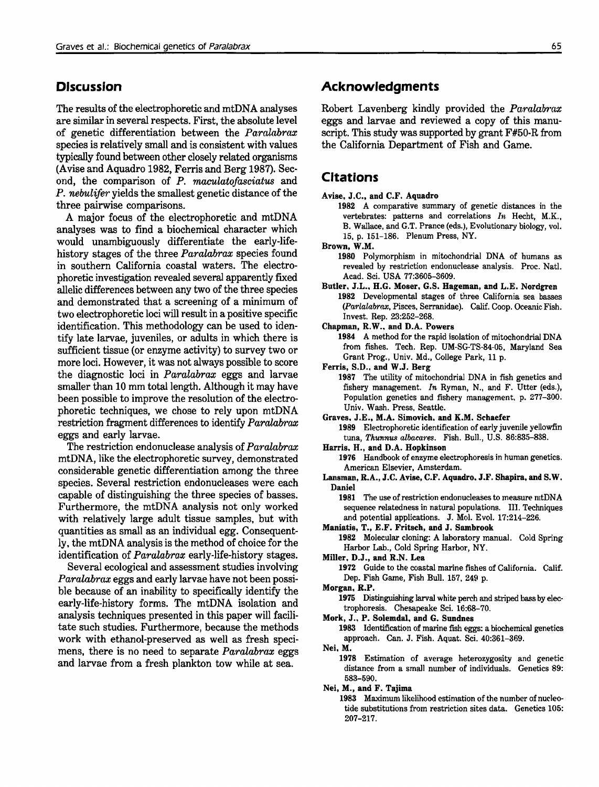# **Discussion**

The results of the electrophoretic and mtDNA analyses are similar in several respects. First, the absolute level of genetic differentiation between the *Paralabrax* species is relatively small and is consistent with values typically found between other closely related organisms (Avise and Aquadro 1982, Ferris and Berg 1987). Second, the comparison of *P. maculatofasciatus* and P. *nebulifer* yields the smallest genetic distance of the three pairwise comparisons.

A major focus of the electrophoretic and mtDNA analyses was to find a biochemical character which would unambiguously differentiate the early-lifehistory stages of the three *Paralabrax* species found in southern California coastal waters. The electrophoretic investigation revealed several apparently fixed allelic differences between any two of the three species and demonstrated that a screening of a minimum of two electrophoretic loci will result in a positive specific identification. This methodology can be used to identify late larvae, juveniles, or adults in which there is sufficient tissue (or enzyme activity) to survey two or more loci. However, it was not always possible to score the diagnostic loci in *Paralabrax* eggs and larvae smaller than 10 mm total length. Although it may have been possible to improve the resolution of the electrophoretic techniques, we chose to rely upon mtDNA restriction fragment differences to identify *Paralabrax* eggs and early larvae.

The restriction endonuclease analysis of *Paralabrax* mtDNA, like the electrophoretic survey, demonstrated considerable genetic differentiation among the three species. Several restriction endonucleases were each capable of distinguishing the three species of basses. Furthermore, the mtDNA analysis not only worked with relatively large adult tissue samples, but with quantities as small as an individual egg. Consequently, the mtDNA analysis is the method of choice for the identification of *Paralabrax* early-life-history stages.

Several ecological and assessment studies involving *Paralabrax* eggs and early larvae have not been possible because of an inability to specifically identify the early-life-history forms. The mtDNA isolation and analysis techniques presented in this paper will facilitate such studies. Furthermore, because the methods work with ethanol-preserved as well as fresh specimens, there is no need to separate *Paralabrax* eggs and larvae from a fresh plankton tow while at sea.

### **Acknowledgments**

Robert Lavenberg kindly provided the *Paralabrax* eggs and larvae and reviewed a copy of this manuscript. This study was supported by grant F#50-R from the California Department of Fish and Game.

### **Citations**

- Avise, J.C., and C.F. Aquadro
	- 1982 A comparative summary of genetic distances in the vertebrates: patterns and correlations *In.* Hecht, M.K., B. Wallace, and G.T. Prance (eds.), Evolutionary biology, vol. 15, p. 151-186. Plenum Press, NY.

Brown, W.M.

1980 Polymorphism in mitochondrial DNA of humans as revealed by restriction endonuclease analysis. Proc. Natl. Acad. Sci. USA 77:3605-3609.

- Butler, J.L., H.G. Moser, G.S. Hageman, and L.E. Nordgren 1982 Developmental stages of three California sea basses *(Parlalabrax,* Pisces, Serranidae). Calif. Coop. Oceanic Fish. Invest. Rep. 23:252-268.
- Chapman, R.W., and D.A. Powers

1984 A method for the rapid isolation of mitochondrial DNA from fishes. Tech. Rep. UM-SG-TS-84-05, Maryland Sea Grant Prog., Univ. Md., College Park, 11 p.

Ferris, S.D., and W.J. Berg

1987 The utility of mitochondrial DNA in fish genetics and fishery management. *In* Ryman, N., and F. Utter (eds.), Population genetics and fishery management. p. 277-300. Univ. Wash. Press, Seattle.

Graves, J.E., M.A. Simovich. and K.M. Schaefer

1989 Electrophoretic identification of early juvenile yellowfin tuna, Thunnus albacares. Fish. Bull., U.S. 86:835-838.

Harris. H., and D.A. Hopkinson

1976 Handbook of enzyme electrophoresis in human genetics. American Elsevier, Amsterdam.

Lansman, R.A., J.C. Avise, C.F. Aquadro. J.F. Shapira, and S.W. Daniel

1981 The use of restriction endonucleases to measure mtDNA sequence relatedness in natural populations. III. Techniques and potential applications. J. Mol. Evol. 17:214-226.

Maniatis, T., E.F. Fritsch, and J. Sambrook

1982 Molecular cloning: A laboratory manual. Cold Spring Harbor Lab., Cold Spring Harbor, NY.

Miller, D.J., and R.N. Lea

1972 Guide to the coastal marine fishes of California. Calif. Dep. Fish Game, Fish Bull. 157, 249 p.

Morgan, R.P.

1975 Distinguishing larval white perch and striped bass by electrophoresis. Chesapeake Sci. 16:68-70.

Mork, J.. P. Solemdal, and G. Sundnes

1983 Identification of marine fish eggs: a biochemical genetics approach. Can. J. Fish. Aquat. Sci. 40:361-369.

Nei. M.

1978 Estimation of average heterozygosity and genetic distance from a small number of individuals. Genetics 89: 583-590.

Nei, M., and F. Tajima

1983 Maximum likelihood estimation of the number of nucleotide substitutions from restriction sites data. Genetics 105: 207-217.